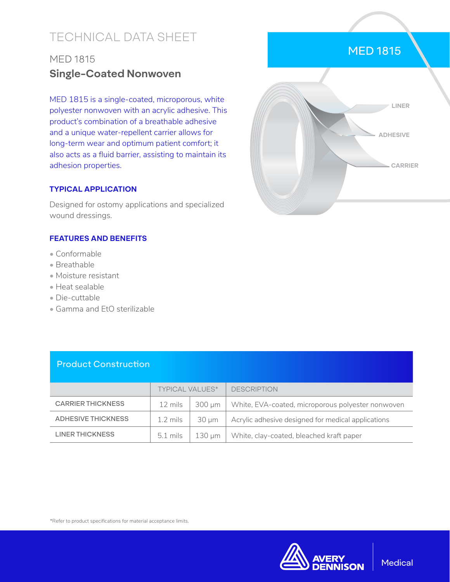# TECHNICAL DATA SHEET

## MED 1815 **Single-Coated Nonwoven**

MED 1815 is a single-coated, microporous, white polyester nonwoven with an acrylic adhesive. This product's combination of a breathable adhesive and a unique water-repellent carrier allows for long-term wear and optimum patient comfort; it also acts as a fluid barrier, assisting to maintain its adhesion properties.

#### **TYPICAL APPLICATION**

Designed for ostomy applications and specialized wound dressings.

#### **FEATURES AND BENEFITS**

- Conformable
- Breathable
- Moisture resistant
- Heat sealable
- Die-cuttable
- Gamma and EtO sterilizable



MED 1815

### Product Construction

|                           | <b>TYPICAL VALUES*</b> |            | <b>DESCRIPTION</b>                                 |
|---------------------------|------------------------|------------|----------------------------------------------------|
| <b>CARRIER THICKNESS</b>  | 12 mils                | 300 um     | White, EVA-coated, microporous polyester nonwoven  |
| <b>ADHESIVE THICKNESS</b> | $1.2 \text{ miles}$    | $30 \mu m$ | Acrylic adhesive designed for medical applications |
| LINER THICKNESS           | 5.1 mils               | 130 um     | White, clay-coated, bleached kraft paper           |